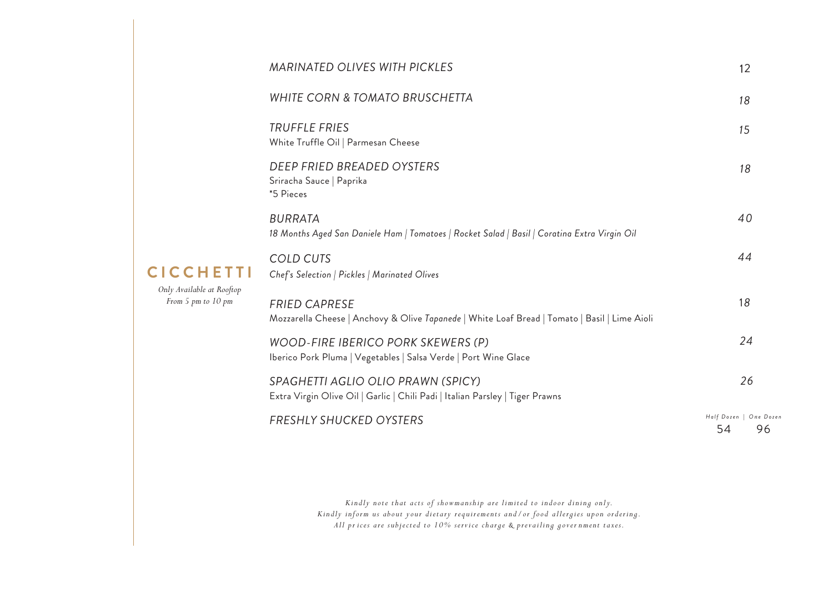|                                                                     | <b>MARINATED OLIVES WITH PICKLES</b>                                                                                  | 12                                 |
|---------------------------------------------------------------------|-----------------------------------------------------------------------------------------------------------------------|------------------------------------|
| <b>CICCHETTI</b><br>Only Available at Rooftop<br>From 5 pm to 10 pm | <b>WHITE CORN &amp; TOMATO BRUSCHETTA</b>                                                                             | 18                                 |
|                                                                     | <b>TRUFFLE FRIES</b><br>White Truffle Oil   Parmesan Cheese                                                           | 15                                 |
|                                                                     | DEEP FRIED BREADED OYSTERS<br>Sriracha Sauce   Paprika<br>*5 Pieces                                                   | 18                                 |
|                                                                     | <b>BURRATA</b><br>18 Months Aged San Daniele Ham   Tomatoes   Rocket Salad   Basil   Coratina Extra Virgin Oil        | 40                                 |
|                                                                     | <b>COLD CUTS</b><br>Chef's Selection   Pickles   Marinated Olives                                                     | 44                                 |
|                                                                     | <b>FRIED CAPRESE</b><br>Mozzarella Cheese   Anchovy & Olive Tapanede   White Loaf Bread   Tomato   Basil   Lime Aioli | 18                                 |
|                                                                     | WOOD-FIRE IBERICO PORK SKEWERS (P)<br>Iberico Pork Pluma   Vegetables   Salsa Verde   Port Wine Glace                 | 24                                 |
|                                                                     | SPAGHETTI AGLIO OLIO PRAWN (SPICY)<br>Extra Virgin Olive Oil   Garlic   Chili Padi   Italian Parsley   Tiger Prawns   | 26                                 |
|                                                                     | <b>FRESHLY SHUCKED OYSTERS</b>                                                                                        | Half Dozen   One Dozen<br>96<br>54 |

**CICCHE** 

*Kindly note that acts of showmanship are limited to indoor dining only. Kindly inform us about your dietary requirements and/or food allergies upon ordering. All pr ices are subjected to 10% service charge & prevailing gover nment taxes.*